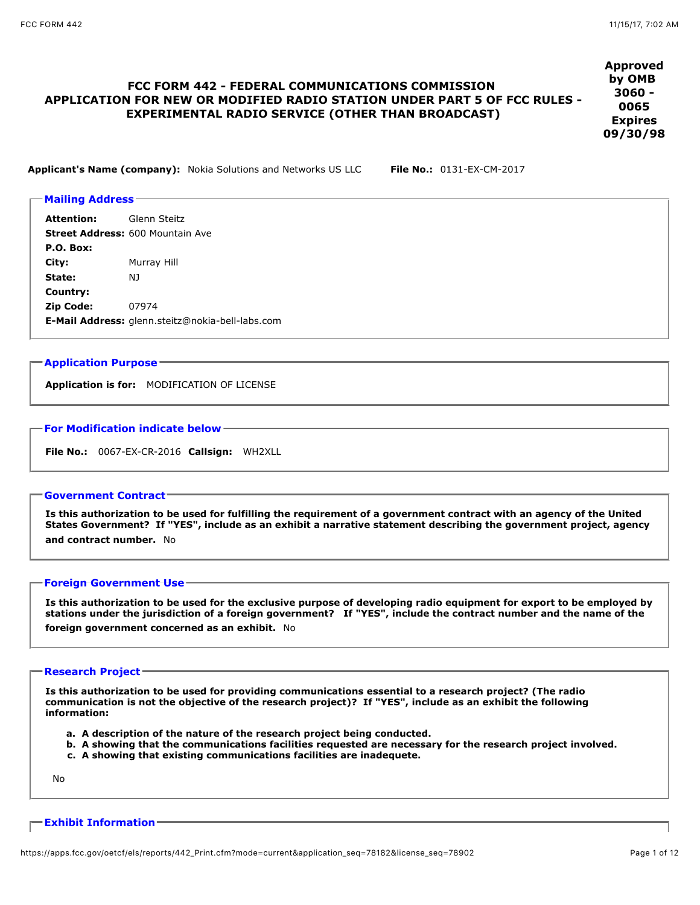# **FCC FORM 442 - FEDERAL COMMUNICATIONS COMMISSION APPLICATION FOR NEW OR MODIFIED RADIO STATION UNDER PART 5 OF FCC RULES - EXPERIMENTAL RADIO SERVICE (OTHER THAN BROADCAST)**

**Approved by OMB 3060 - 0065 Expires 09/30/98**

**Applicant's Name (company):** Nokia Solutions and Networks US LLC **File No.:** 0131-EX-CM-2017

# **Mailing Address Attention:** Glenn Steitz **Street Address:** 600 Mountain Ave **P.O. Box: City:** Murray Hill **State:** NJ **Country: Zip Code:** 07974 **E-Mail Address:** glenn.steitz@nokia-bell-labs.com

# **Application Purpose**

**Application is for:** MODIFICATION OF LICENSE

## **For Modification indicate below**

**File No.:** 0067-EX-CR-2016 **Callsign:** WH2XLL

## **Government Contract**

**Is this authorization to be used for fulfilling the requirement of a government contract with an agency of the United States Government? If "YES", include as an exhibit a narrative statement describing the government project, agency and contract number.** No

## **Foreign Government Use**

**Is this authorization to be used for the exclusive purpose of developing radio equipment for export to be employed by stations under the jurisdiction of a foreign government? If "YES", include the contract number and the name of the foreign government concerned as an exhibit.** No

#### **Research Project**

**Is this authorization to be used for providing communications essential to a research project? (The radio communication is not the objective of the research project)? If "YES", include as an exhibit the following information:**

- **a. A description of the nature of the research project being conducted.**
- **b. A showing that the communications facilities requested are necessary for the research project involved.**
- **c. A showing that existing communications facilities are inadequete.**

No

## **Exhibit Information**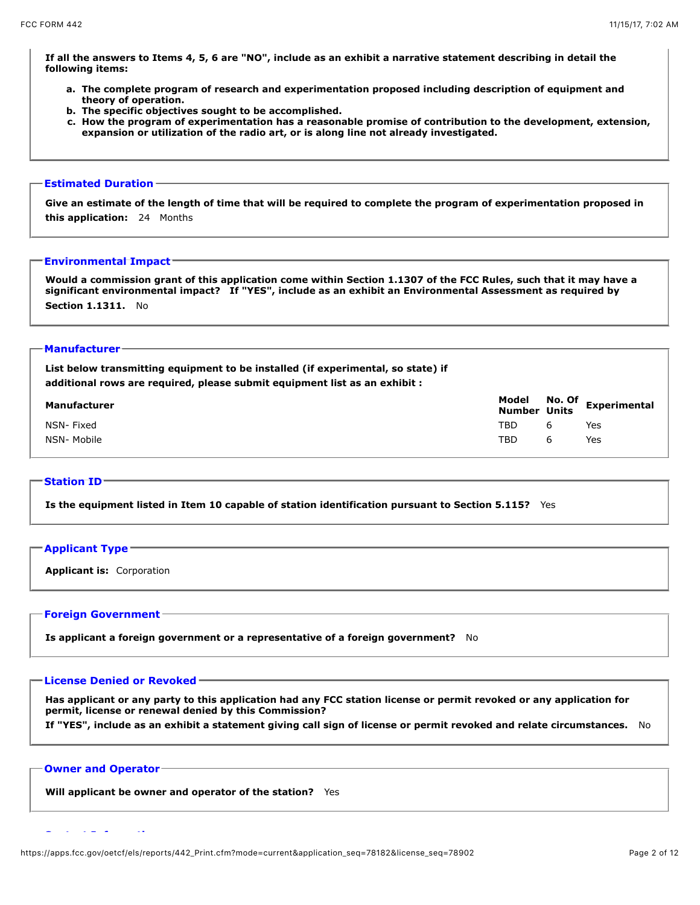**If all the answers to Items 4, 5, 6 are "NO", include as an exhibit a narrative statement describing in detail the following items:**

- **a. The complete program of research and experimentation proposed including description of equipment and theory of operation.**
- **b. The specific objectives sought to be accomplished.**
- **c. How the program of experimentation has a reasonable promise of contribution to the development, extension, expansion or utilization of the radio art, or is along line not already investigated.**

## **Estimated Duration**

**Give an estimate of the length of time that will be required to complete the program of experimentation proposed in this application:** 24 Months

#### **Environmental Impact**

**Would a commission grant of this application come within Section 1.1307 of the FCC Rules, such that it may have a significant environmental impact? If "YES", include as an exhibit an Environmental Assessment as required by Section 1.1311.** No

## **Manufacturer**

| List below transmitting equipment to be installed (if experimental, so state) if<br>additional rows are required, please submit equipment list as an exhibit : |     |   |                                           |
|----------------------------------------------------------------------------------------------------------------------------------------------------------------|-----|---|-------------------------------------------|
| Manufacturer                                                                                                                                                   |     |   | Model No. Of Experimental<br>Number Units |
| NSN- Fixed                                                                                                                                                     | TBD | 6 | Yes                                       |
| NSN- Mobile                                                                                                                                                    | TBD | 6 | Yes                                       |

### **Station ID**

**Is the equipment listed in Item 10 capable of station identification pursuant to Section 5.115?** Yes

#### **Applicant Type**

**Applicant is:** Corporation

## **Foreign Government**

**Is applicant a foreign government or a representative of a foreign government?** No

## **License Denied or Revoked**

**Has applicant or any party to this application had any FCC station license or permit revoked or any application for permit, license or renewal denied by this Commission?**

**If "YES", include as an exhibit a statement giving call sign of license or permit revoked and relate circumstances.** No

#### **Owner and Operator**

**Will applicant be owner and operator of the station?** Yes

**Contact Information**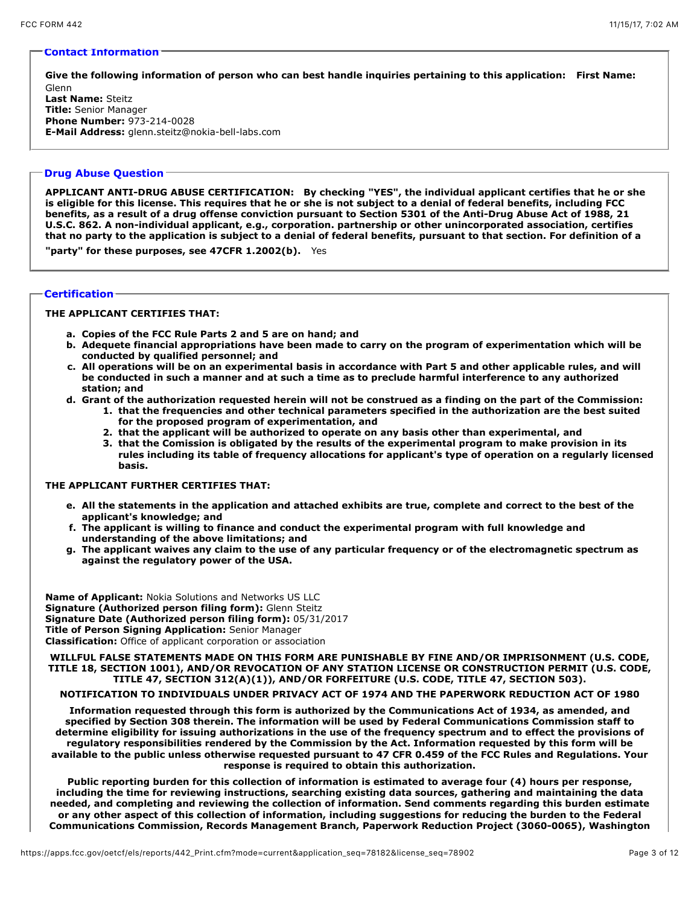#### **Contact Information**

**Give the following information of person who can best handle inquiries pertaining to this application: First Name:** Glenn

**Last Name:** Steitz **Title:** Senior Manager **Phone Number:** 973-214-0028 **E-Mail Address:** glenn.steitz@nokia-bell-labs.com

## **Drug Abuse Question**

**APPLICANT ANTI-DRUG ABUSE CERTIFICATION: By checking "YES", the individual applicant certifies that he or she is eligible for this license. This requires that he or she is not subject to a denial of federal benefits, including FCC benefits, as a result of a drug offense conviction pursuant to Section 5301 of the Anti-Drug Abuse Act of 1988, 21 U.S.C. 862. A non-individual applicant, e.g., corporation. partnership or other unincorporated association, certifies that no party to the application is subject to a denial of federal benefits, pursuant to that section. For definition of a**

**"party" for these purposes, see 47CFR 1.2002(b).** Yes

## **Certification**

## **THE APPLICANT CERTIFIES THAT:**

- **a. Copies of the FCC Rule Parts 2 and 5 are on hand; and**
- **b. Adequete financial appropriations have been made to carry on the program of experimentation which will be conducted by qualified personnel; and**
- **c. All operations will be on an experimental basis in accordance with Part 5 and other applicable rules, and will be conducted in such a manner and at such a time as to preclude harmful interference to any authorized station; and**
- **d. Grant of the authorization requested herein will not be construed as a finding on the part of the Commission:**
	- **1. that the frequencies and other technical parameters specified in the authorization are the best suited for the proposed program of experimentation, and**
	- **2. that the applicant will be authorized to operate on any basis other than experimental, and**
	- **3. that the Comission is obligated by the results of the experimental program to make provision in its rules including its table of frequency allocations for applicant's type of operation on a regularly licensed basis.**

## **THE APPLICANT FURTHER CERTIFIES THAT:**

- **e. All the statements in the application and attached exhibits are true, complete and correct to the best of the applicant's knowledge; and**
- **f. The applicant is willing to finance and conduct the experimental program with full knowledge and understanding of the above limitations; and**
- **g. The applicant waives any claim to the use of any particular frequency or of the electromagnetic spectrum as against the regulatory power of the USA.**

**Name of Applicant:** Nokia Solutions and Networks US LLC **Signature (Authorized person filing form):** Glenn Steitz **Signature Date (Authorized person filing form):** 05/31/2017 **Title of Person Signing Application:** Senior Manager **Classification:** Office of applicant corporation or association

**WILLFUL FALSE STATEMENTS MADE ON THIS FORM ARE PUNISHABLE BY FINE AND/OR IMPRISONMENT (U.S. CODE, TITLE 18, SECTION 1001), AND/OR REVOCATION OF ANY STATION LICENSE OR CONSTRUCTION PERMIT (U.S. CODE, TITLE 47, SECTION 312(A)(1)), AND/OR FORFEITURE (U.S. CODE, TITLE 47, SECTION 503).**

#### **NOTIFICATION TO INDIVIDUALS UNDER PRIVACY ACT OF 1974 AND THE PAPERWORK REDUCTION ACT OF 1980**

**Information requested through this form is authorized by the Communications Act of 1934, as amended, and specified by Section 308 therein. The information will be used by Federal Communications Commission staff to determine eligibility for issuing authorizations in the use of the frequency spectrum and to effect the provisions of regulatory responsibilities rendered by the Commission by the Act. Information requested by this form will be available to the public unless otherwise requested pursuant to 47 CFR 0.459 of the FCC Rules and Regulations. Your response is required to obtain this authorization.**

**Public reporting burden for this collection of information is estimated to average four (4) hours per response, including the time for reviewing instructions, searching existing data sources, gathering and maintaining the data needed, and completing and reviewing the collection of information. Send comments regarding this burden estimate or any other aspect of this collection of information, including suggestions for reducing the burden to the Federal Communications Commission, Records Management Branch, Paperwork Reduction Project (3060-0065), Washington**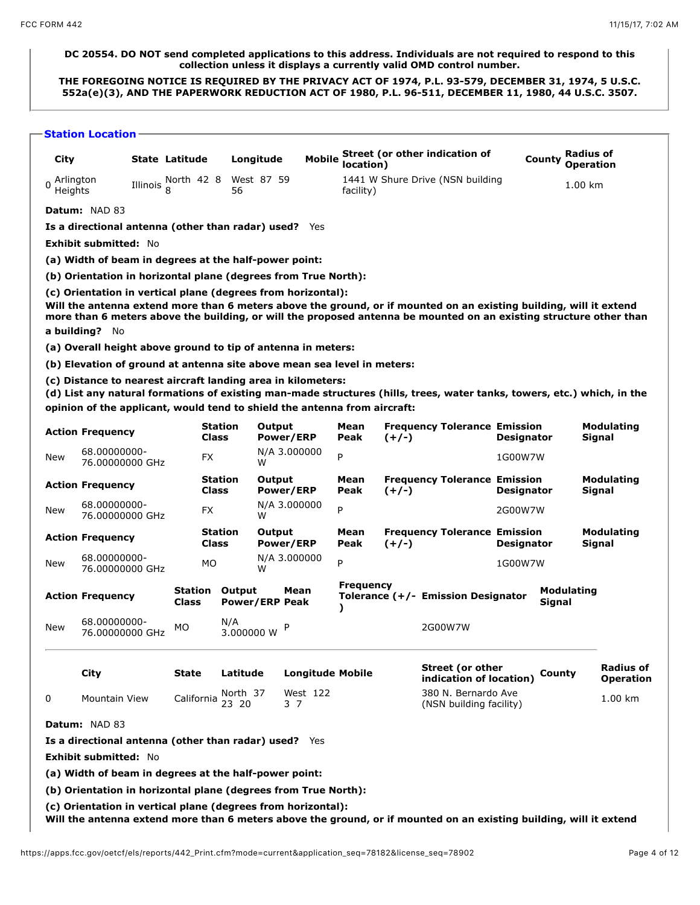# **DC 20554. DO NOT send completed applications to this address. Individuals are not required to respond to this collection unless it displays a currently valid OMD control number.**

**THE FOREGOING NOTICE IS REQUIRED BY THE PRIVACY ACT OF 1974, P.L. 93-579, DECEMBER 31, 1974, 5 U.S.C. 552a(e)(3), AND THE PAPERWORK REDUCTION ACT OF 1980, P.L. 96-511, DECEMBER 11, 1980, 44 U.S.C. 3507.**

**Station Location**

| City                   |                                                                                                                                           | State Latitude                 |                         |                                 | Longitude | <b>Mobile</b>           | location)        |         | Street (or other indication of                                                                                                                                                                                                           |                   | County        | <b>Radius of</b><br><b>Operation</b> |                               |
|------------------------|-------------------------------------------------------------------------------------------------------------------------------------------|--------------------------------|-------------------------|---------------------------------|-----------|-------------------------|------------------|---------|------------------------------------------------------------------------------------------------------------------------------------------------------------------------------------------------------------------------------------------|-------------------|---------------|--------------------------------------|-------------------------------|
| 0 Arlington<br>Heights |                                                                                                                                           | Illinois North 42 8 West 87 59 |                         | 56                              |           |                         | facility)        |         | 1441 W Shure Drive (NSN building                                                                                                                                                                                                         |                   |               | 1.00 km                              |                               |
|                        | <b>Datum: NAD 83</b>                                                                                                                      |                                |                         |                                 |           |                         |                  |         |                                                                                                                                                                                                                                          |                   |               |                                      |                               |
|                        | Is a directional antenna (other than radar) used? Yes                                                                                     |                                |                         |                                 |           |                         |                  |         |                                                                                                                                                                                                                                          |                   |               |                                      |                               |
|                        | <b>Exhibit submitted: No</b>                                                                                                              |                                |                         |                                 |           |                         |                  |         |                                                                                                                                                                                                                                          |                   |               |                                      |                               |
|                        | (a) Width of beam in degrees at the half-power point:                                                                                     |                                |                         |                                 |           |                         |                  |         |                                                                                                                                                                                                                                          |                   |               |                                      |                               |
|                        | (b) Orientation in horizontal plane (degrees from True North):                                                                            |                                |                         |                                 |           |                         |                  |         |                                                                                                                                                                                                                                          |                   |               |                                      |                               |
|                        | (c) Orientation in vertical plane (degrees from horizontal):<br>a building? No                                                            |                                |                         |                                 |           |                         |                  |         | Will the antenna extend more than 6 meters above the ground, or if mounted on an existing building, will it extend<br>more than 6 meters above the building, or will the proposed antenna be mounted on an existing structure other than |                   |               |                                      |                               |
|                        | (a) Overall height above ground to tip of antenna in meters:                                                                              |                                |                         |                                 |           |                         |                  |         |                                                                                                                                                                                                                                          |                   |               |                                      |                               |
|                        | (b) Elevation of ground at antenna site above mean sea level in meters:                                                                   |                                |                         |                                 |           |                         |                  |         |                                                                                                                                                                                                                                          |                   |               |                                      |                               |
|                        | (c) Distance to nearest aircraft landing area in kilometers:<br>opinion of the applicant, would tend to shield the antenna from aircraft: |                                |                         |                                 |           |                         |                  |         | (d) List any natural formations of existing man-made structures (hills, trees, water tanks, towers, etc.) which, in the                                                                                                                  |                   |               |                                      |                               |
|                        | <b>Action Frequency</b>                                                                                                                   |                                | <b>Station</b><br>Class |                                 | Output    | Power/ERP               | Mean<br>Peak     | $(+/-)$ | <b>Frequency Tolerance Emission</b>                                                                                                                                                                                                      | <b>Designator</b> |               |                                      | <b>Modulating</b><br>Signal   |
| New                    | 68.00000000-<br>76.00000000 GHz                                                                                                           |                                | FX.                     |                                 | W         | N/A 3.000000            | P                |         |                                                                                                                                                                                                                                          | 1G00W7W           |               |                                      |                               |
|                        | <b>Action Frequency</b>                                                                                                                   |                                | <b>Station</b><br>Class |                                 | Output    | Power/ERP               | Mean<br>Peak     | $(+/-)$ | <b>Frequency Tolerance Emission</b>                                                                                                                                                                                                      | <b>Designator</b> |               |                                      | <b>Modulating</b><br>Signal   |
| New                    | 68.00000000-<br>76.00000000 GHz                                                                                                           |                                | FX                      |                                 | W         | N/A 3.000000            | P                |         |                                                                                                                                                                                                                                          | 2G00W7W           |               |                                      |                               |
|                        | <b>Action Frequency</b>                                                                                                                   |                                | <b>Station</b><br>Class |                                 | Output    | Power/ERP               | Mean<br>Peak     | $(+/-)$ | <b>Frequency Tolerance Emission</b>                                                                                                                                                                                                      | <b>Designator</b> |               |                                      | Modulating<br>Signal          |
| New                    | 68.00000000-<br>76.00000000 GHz                                                                                                           |                                | МO                      |                                 | W         | N/A 3.000000            | P                |         |                                                                                                                                                                                                                                          | 1G00W7W           |               |                                      |                               |
|                        | <b>Action Frequency</b>                                                                                                                   | Station<br>Class               |                         | Output<br><b>Power/ERP Peak</b> |           | Mean                    | <b>Frequency</b> |         | Tolerance (+/- Emission Designator                                                                                                                                                                                                       |                   | <b>Signal</b> | <b>Modulating</b>                    |                               |
| New                    | 68.00000000-<br>76.00000000 GHz                                                                                                           | MO                             |                         | N/A<br>3.000000 W               |           | P                       |                  |         | 2G00W7W                                                                                                                                                                                                                                  |                   |               |                                      |                               |
|                        | City                                                                                                                                      | State                          |                         | Latitude                        |           | <b>Longitude Mobile</b> |                  |         | <b>Street (or other</b><br>indication of location)                                                                                                                                                                                       |                   | County        |                                      | Radius of<br><b>Operation</b> |
| 0                      | Mountain View                                                                                                                             |                                |                         | North 37<br>California volum    |           | West 122<br>3 7         |                  |         | 380 N. Bernardo Ave<br>(NSN building facility)                                                                                                                                                                                           |                   |               |                                      | 1.00 km                       |
|                        | <b>Datum: NAD 83</b>                                                                                                                      |                                |                         |                                 |           |                         |                  |         |                                                                                                                                                                                                                                          |                   |               |                                      |                               |
|                        | Is a directional antenna (other than radar) used? Yes                                                                                     |                                |                         |                                 |           |                         |                  |         |                                                                                                                                                                                                                                          |                   |               |                                      |                               |
|                        | <b>Exhibit submitted: No</b>                                                                                                              |                                |                         |                                 |           |                         |                  |         |                                                                                                                                                                                                                                          |                   |               |                                      |                               |
|                        | (a) Width of beam in degrees at the half-power point:                                                                                     |                                |                         |                                 |           |                         |                  |         |                                                                                                                                                                                                                                          |                   |               |                                      |                               |
|                        | (b) Orientation in horizontal plane (degrees from True North):                                                                            |                                |                         |                                 |           |                         |                  |         |                                                                                                                                                                                                                                          |                   |               |                                      |                               |
|                        | (c) Orientation in vertical plane (degrees from horizontal):                                                                              |                                |                         |                                 |           |                         |                  |         | Will the antenna extend more than 6 meters above the ground, or if mounted on an existing building, will it extend                                                                                                                       |                   |               |                                      |                               |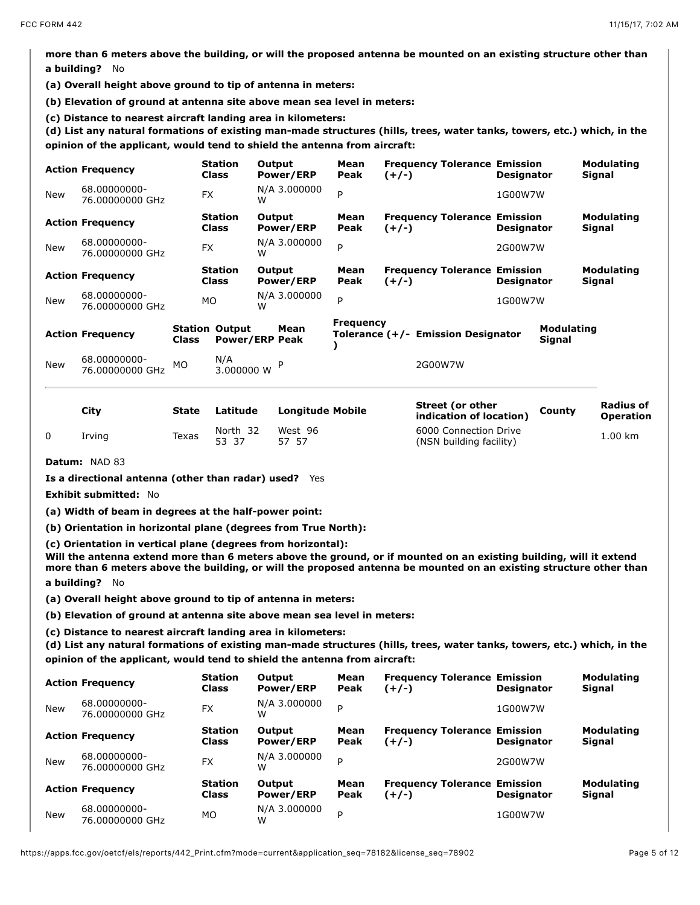**more than 6 meters above the building, or will the proposed antenna be mounted on an existing structure other than a building?** No

**(a) Overall height above ground to tip of antenna in meters:** 

**(b) Elevation of ground at antenna site above mean sea level in meters:** 

(c) Distance to nearest aircraft landing area in kilometers:<br>(d) List any natural formations of existing man-made structures (hills, trees, water tanks, towers, etc.) which, in the **opinion of the applicant, would tend to shield the antenna from aircraft:** 

|            | <b>Action Frequency</b>         |       | <b>Station</b><br><b>Class</b> | Output<br>Power/ERP           | Mean<br>Peak | <b>Frequency Tolerance Emission</b><br>$(+/-)$ | <b>Designator</b> |                             | <b>Modulating</b><br><b>Signal</b> |
|------------|---------------------------------|-------|--------------------------------|-------------------------------|--------------|------------------------------------------------|-------------------|-----------------------------|------------------------------------|
| <b>New</b> | 68.00000000-<br>76.00000000 GHz |       | <b>FX</b>                      | N/A 3.000000<br>w             | P            |                                                | 1G00W7W           |                             |                                    |
|            | <b>Action Frequency</b>         |       | <b>Station</b><br><b>Class</b> | Output<br>Power/ERP           | Mean<br>Peak | <b>Frequency Tolerance Emission</b><br>$(+/-)$ | <b>Designator</b> |                             | <b>Modulating</b><br><b>Signal</b> |
| <b>New</b> | 68.00000000-<br>76.00000000 GHz |       | <b>FX</b>                      | N/A 3.000000<br>W             | P            |                                                | 2G00W7W           |                             |                                    |
|            | <b>Action Frequency</b>         |       | <b>Station</b><br>Class        | Output<br><b>Power/ERP</b>    | Mean<br>Peak | <b>Frequency Tolerance Emission</b><br>$(+/-)$ | <b>Designator</b> |                             | <b>Modulating</b><br>Signal        |
| <b>New</b> | 68.00000000-<br>76.00000000 GHz |       | МO                             | N/A 3.000000<br>w             | P            |                                                | 1G00W7W           |                             |                                    |
|            | <b>Action Frequency</b>         | Class | <b>Station Output</b>          | Mean<br><b>Power/ERP Peak</b> | Frequency    | Tolerance (+/- Emission Designator             |                   | <b>Modulating</b><br>Signal |                                    |
| <b>New</b> | 68.00000000-<br>76.00000000 GHz | МO    | N/A<br>3.000000 W              |                               |              | 2G00W7W                                        |                   |                             |                                    |

| City   | <b>State</b> | Latitude          | <b>Longitude Mobile</b> | Street (or other<br>indication of location)      | County | Radius of<br><b>Operation</b> |
|--------|--------------|-------------------|-------------------------|--------------------------------------------------|--------|-------------------------------|
| Irving | Texas        | North 32<br>53 37 | West 96<br>57 57        | 6000 Connection Drive<br>(NSN building facility) |        | 1.00 km                       |

**Datum:** NAD 83

**Is a directional antenna (other than radar) used?** Yes

**Exhibit submitted:** No

**(a) Width of beam in degrees at the half-power point:** 

**(b) Orientation in horizontal plane (degrees from True North):**

**(c) Orientation in vertical plane (degrees from horizontal):**

**Will the antenna extend more than 6 meters above the ground, or if mounted on an existing building, will it extend more than 6 meters above the building, or will the proposed antenna be mounted on an existing structure other than a building?** No

**(a) Overall height above ground to tip of antenna in meters:** 

**(b) Elevation of ground at antenna site above mean sea level in meters:** 

**(c) Distance to nearest aircraft landing area in kilometers: (d) List any natural formations of existing man-made structures (hills, trees, water tanks, towers, etc.) which, in the opinion of the applicant, would tend to shield the antenna from aircraft:** 

|            | <b>Action Frequency</b>         | <b>Station</b><br><b>Class</b> | Output<br>Power/ERP        | Mean<br>Peak | <b>Frequency Tolerance Emission</b><br>$(+/-)$ | <b>Designator</b> | <b>Modulating</b><br>Signal |
|------------|---------------------------------|--------------------------------|----------------------------|--------------|------------------------------------------------|-------------------|-----------------------------|
| <b>New</b> | 68.00000000-<br>76.00000000 GHz | <b>FX</b>                      | N/A 3.000000<br>w          | P            |                                                | 1G00W7W           |                             |
|            | <b>Action Frequency</b>         | <b>Station</b><br><b>Class</b> | Output<br>Power/ERP        | Mean<br>Peak | <b>Frequency Tolerance Emission</b><br>$(+/-)$ | <b>Designator</b> | Modulating<br>Signal        |
| <b>New</b> | 68.00000000-<br>76.00000000 GHz | <b>FX</b>                      | N/A 3.000000<br>w          | P            |                                                | 2G00W7W           |                             |
|            | <b>Action Frequency</b>         | <b>Station</b><br><b>Class</b> | Output<br><b>Power/ERP</b> | Mean<br>Peak | <b>Frequency Tolerance Emission</b><br>$(+/-)$ | <b>Designator</b> | Modulating<br>Signal        |
| <b>New</b> | 68.00000000-<br>76.00000000 GHz | <b>MO</b>                      | N/A 3.000000<br>w          | P            |                                                | 1G00W7W           |                             |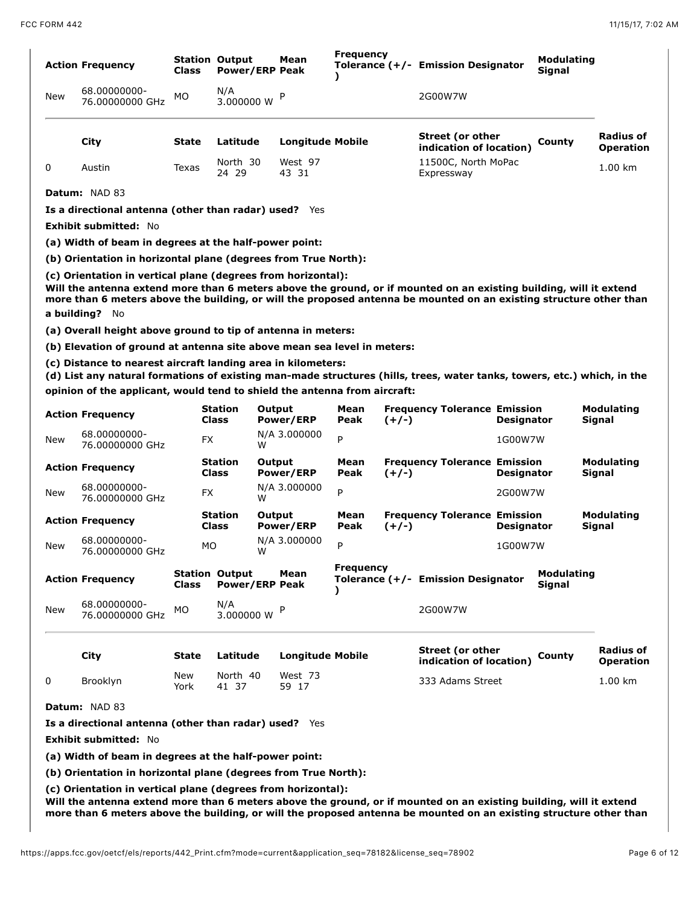|            | <b>Action Frequency</b>                                                                                                                                                                                                                                              | Class        | <b>Station Output</b><br><b>Power/ERP Peak</b> | Mean                       | <b>Frequency</b>        | Tolerance (+/- Emission Designator                 |                   | <b>Modulating</b><br><b>Signal</b> |                                                 |
|------------|----------------------------------------------------------------------------------------------------------------------------------------------------------------------------------------------------------------------------------------------------------------------|--------------|------------------------------------------------|----------------------------|-------------------------|----------------------------------------------------|-------------------|------------------------------------|-------------------------------------------------|
| New        | 68.00000000-<br>76.00000000 GHz                                                                                                                                                                                                                                      | МO           | N/A<br>3.000000 W                              |                            |                         | 2G00W7W                                            |                   |                                    |                                                 |
|            | City                                                                                                                                                                                                                                                                 | State        | Latitude                                       | <b>Longitude Mobile</b>    |                         | Street (or other<br>indication of location)        |                   | County                             | <b>Radius of</b><br><b>Operation</b>            |
| 0          | Austin                                                                                                                                                                                                                                                               | Texas        | North 30<br>24 29                              | West 97<br>43 31           |                         | 11500C, North MoPac<br>Expressway                  |                   |                                    | $1.00$ km                                       |
|            | <b>Datum: NAD 83</b>                                                                                                                                                                                                                                                 |              |                                                |                            |                         |                                                    |                   |                                    |                                                 |
|            | Is a directional antenna (other than radar) used? Yes                                                                                                                                                                                                                |              |                                                |                            |                         |                                                    |                   |                                    |                                                 |
|            | <b>Exhibit submitted: No</b>                                                                                                                                                                                                                                         |              |                                                |                            |                         |                                                    |                   |                                    |                                                 |
|            | (a) Width of beam in degrees at the half-power point:                                                                                                                                                                                                                |              |                                                |                            |                         |                                                    |                   |                                    |                                                 |
|            | (b) Orientation in horizontal plane (degrees from True North):                                                                                                                                                                                                       |              |                                                |                            |                         |                                                    |                   |                                    |                                                 |
|            | Will the antenna extend more than 6 meters above the ground, or if mounted on an existing building, will it extend<br>more than 6 meters above the building, or will the proposed antenna be mounted on an existing structure other than<br>a building? No           |              |                                                |                            |                         |                                                    |                   |                                    |                                                 |
|            | (a) Overall height above ground to tip of antenna in meters:                                                                                                                                                                                                         |              |                                                |                            |                         |                                                    |                   |                                    |                                                 |
|            | (b) Elevation of ground at antenna site above mean sea level in meters:                                                                                                                                                                                              |              |                                                |                            |                         |                                                    |                   |                                    |                                                 |
|            | (c) Distance to nearest aircraft landing area in kilometers:<br>(d) List any natural formations of existing man-made structures (hills, trees, water tanks, towers, etc.) which, in the<br>opinion of the applicant, would tend to shield the antenna from aircraft: |              |                                                |                            |                         |                                                    |                   |                                    |                                                 |
|            |                                                                                                                                                                                                                                                                      |              |                                                |                            |                         |                                                    |                   |                                    |                                                 |
|            | <b>Action Frequency</b>                                                                                                                                                                                                                                              |              | <b>Station</b><br><b>Class</b>                 | Output<br>Power/ERP        | Mean<br>Peak<br>$(+/-)$ | <b>Frequency Tolerance Emission</b>                | <b>Designator</b> |                                    | <b>Modulating</b><br>Signal                     |
|            | 68.00000000-<br>76.00000000 GHz                                                                                                                                                                                                                                      | FX           |                                                | N/A 3.000000<br>w          | P                       |                                                    | 1G00W7W           |                                    |                                                 |
|            | <b>Action Frequency</b>                                                                                                                                                                                                                                              |              | <b>Station</b><br><b>Class</b>                 | Output<br><b>Power/ERP</b> | Mean<br>Peak<br>$(+/-)$ | <b>Frequency Tolerance Emission</b>                | <b>Designator</b> |                                    | Modulating<br>Signal                            |
|            | 68.00000000-<br>76.00000000 GHz                                                                                                                                                                                                                                      | FX           |                                                | N/A 3.000000<br>W          | P                       |                                                    | 2G00W7W           |                                    |                                                 |
| New<br>New | <b>Action Frequency</b>                                                                                                                                                                                                                                              |              | <b>Station</b><br>Class                        | Output<br>Power/ERP        | Mean<br>Peak<br>$(+/-)$ | <b>Frequency Tolerance Emission</b>                | <b>Designator</b> |                                    | <b>Modulating</b><br>Signal                     |
| <b>New</b> | 68.00000000-<br>76.00000000 GHz                                                                                                                                                                                                                                      | МO           |                                                | N/A 3.000000<br>W          | P                       |                                                    | 1G00W7W           |                                    |                                                 |
|            | <b>Action Frequency</b>                                                                                                                                                                                                                                              | Class        | <b>Station Output</b><br><b>Power/ERP Peak</b> | Mean                       | <b>Frequency</b>        | Tolerance (+/- Emission Designator                 |                   | <b>Modulating</b><br><b>Signal</b> |                                                 |
|            | 68.00000000-<br>76.00000000 GHz                                                                                                                                                                                                                                      | МO           | N/A<br>3.000000 W                              | P                          |                         | 2G00W7W                                            |                   |                                    |                                                 |
|            | City                                                                                                                                                                                                                                                                 | <b>State</b> | Latitude                                       | <b>Longitude Mobile</b>    |                         | <b>Street (or other</b><br>indication of location) |                   | County                             |                                                 |
| New<br>0   | Brooklyn                                                                                                                                                                                                                                                             | New<br>York  | North 40<br>41 37                              | West 73<br>59 17           |                         | 333 Adams Street                                   |                   |                                    | <b>Radius of</b><br><b>Operation</b><br>1.00 km |
|            | Datum: NAD 83                                                                                                                                                                                                                                                        |              |                                                |                            |                         |                                                    |                   |                                    |                                                 |
|            | Is a directional antenna (other than radar) used? Yes                                                                                                                                                                                                                |              |                                                |                            |                         |                                                    |                   |                                    |                                                 |

**(a) Width of beam in degrees at the half-power point:** 

**(b) Orientation in horizontal plane (degrees from True North):**

**(c) Orientation in vertical plane (degrees from horizontal):**

**Will the antenna extend more than 6 meters above the ground, or if mounted on an existing building, will it extend more than 6 meters above the building, or will the proposed antenna be mounted on an existing structure other than**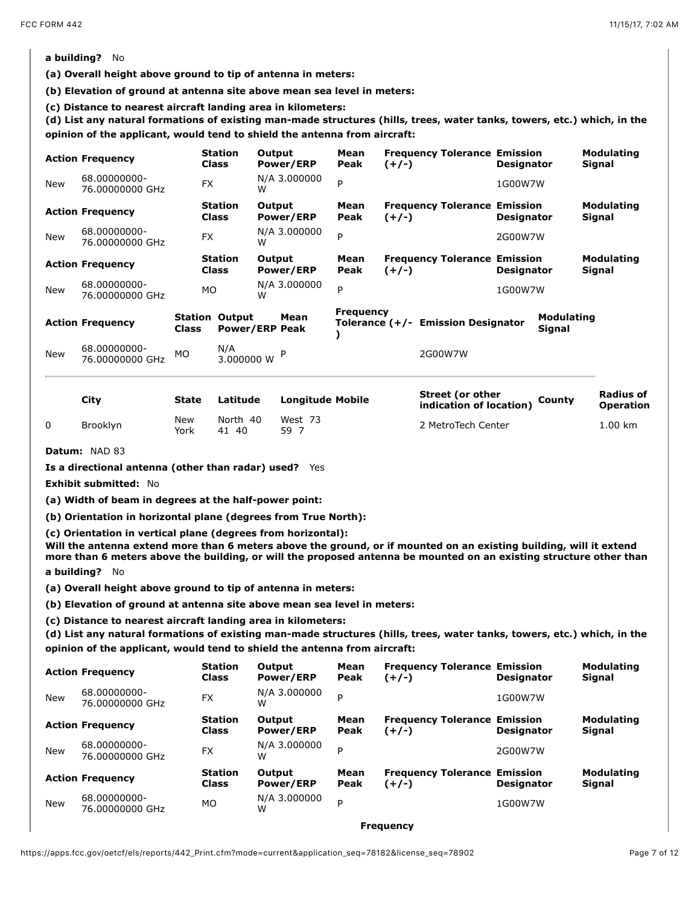# **a building?** No

**(a) Overall height above ground to tip of antenna in meters:** 

**(b) Elevation of ground at antenna site above mean sea level in meters:** 

(c) Distance to nearest aircraft landing area in kilometers:<br>(d) List any natural formations of existing man-made structures (hills, trees, water tanks, towers, etc.) which, in the **opinion of the applicant, would tend to shield the antenna from aircraft:** 

|            | <b>Action Frequency</b>                                                                                                                                                                                                                                                                                                    |              | <b>Station</b><br><b>Class</b> |                       | Output<br>Power/ERP        | Mean<br>Peak     | $(+/-)$ | <b>Frequency Tolerance Emission</b>                | <b>Designator</b> |                                    | <b>Modulating</b><br>Signal        |
|------------|----------------------------------------------------------------------------------------------------------------------------------------------------------------------------------------------------------------------------------------------------------------------------------------------------------------------------|--------------|--------------------------------|-----------------------|----------------------------|------------------|---------|----------------------------------------------------|-------------------|------------------------------------|------------------------------------|
| New        | 68.00000000-<br>76.00000000 GHz                                                                                                                                                                                                                                                                                            |              | <b>FX</b>                      | W                     | N/A 3.000000               | P                |         |                                                    | 1G00W7W           |                                    |                                    |
|            | <b>Action Frequency</b>                                                                                                                                                                                                                                                                                                    |              | <b>Station</b><br><b>Class</b> |                       | Output<br><b>Power/ERP</b> | Mean<br>Peak     | $(+/-)$ | <b>Frequency Tolerance Emission</b>                | <b>Designator</b> |                                    | <b>Modulating</b><br><b>Signal</b> |
| <b>New</b> | 68.00000000-<br>76.00000000 GHz                                                                                                                                                                                                                                                                                            |              | <b>FX</b>                      | w                     | N/A 3.000000               | P                |         |                                                    | 2G00W7W           |                                    |                                    |
|            | <b>Action Frequency</b>                                                                                                                                                                                                                                                                                                    |              | <b>Station</b><br><b>Class</b> |                       | Output<br><b>Power/ERP</b> | Mean<br>Peak     | $(+/-)$ | <b>Frequency Tolerance Emission</b>                | <b>Designator</b> |                                    | <b>Modulating</b><br>Signal        |
| New        | 68.00000000-<br>76.00000000 GHz                                                                                                                                                                                                                                                                                            |              | MO                             | W                     | N/A 3.000000               | P                |         |                                                    | 1G00W7W           |                                    |                                    |
|            | <b>Action Frequency</b>                                                                                                                                                                                                                                                                                                    | <b>Class</b> | <b>Station Output</b>          | <b>Power/ERP Peak</b> | Mean                       | <b>Frequency</b> |         | Tolerance (+/- Emission Designator                 |                   | <b>Modulating</b><br><b>Signal</b> |                                    |
| New        | 68.00000000-<br>76.00000000 GHz                                                                                                                                                                                                                                                                                            | <b>MO</b>    | N/A                            | 3.000000 W            |                            |                  |         | 2G00W7W                                            |                   |                                    |                                    |
|            | City                                                                                                                                                                                                                                                                                                                       | State        |                                | Latitude              | <b>Longitude Mobile</b>    |                  |         | <b>Street (or other</b><br>indication of location) |                   | County                             | Radius of<br><b>Operation</b>      |
| 0          | Brooklyn                                                                                                                                                                                                                                                                                                                   | New<br>York  |                                | North 40<br>41 40     | West 73<br>59 7            |                  |         | 2 MetroTech Center                                 |                   |                                    | 1.00 km                            |
|            | Datum: NAD 83                                                                                                                                                                                                                                                                                                              |              |                                |                       |                            |                  |         |                                                    |                   |                                    |                                    |
|            | Is a directional antenna (other than radar) used? Yes                                                                                                                                                                                                                                                                      |              |                                |                       |                            |                  |         |                                                    |                   |                                    |                                    |
|            | Exhibit submitted: No                                                                                                                                                                                                                                                                                                      |              |                                |                       |                            |                  |         |                                                    |                   |                                    |                                    |
|            | (a) Width of beam in degrees at the half-power point:                                                                                                                                                                                                                                                                      |              |                                |                       |                            |                  |         |                                                    |                   |                                    |                                    |
|            | (b) Orientation in horizontal plane (degrees from True North):                                                                                                                                                                                                                                                             |              |                                |                       |                            |                  |         |                                                    |                   |                                    |                                    |
|            | (c) Orientation in vertical plane (degrees from horizontal):<br>Will the antenna extend more than 6 meters above the ground, or if mounted on an existing building, will it extend<br>more than 6 meters above the building, or will the proposed antenna be mounted on an existing structure other than<br>a building? No |              |                                |                       |                            |                  |         |                                                    |                   |                                    |                                    |
|            | (a) Overall height above ground to tip of antenna in meters:                                                                                                                                                                                                                                                               |              |                                |                       |                            |                  |         |                                                    |                   |                                    |                                    |
|            | (b) Elevation of ground at antenna site above mean sea level in meters:                                                                                                                                                                                                                                                    |              |                                |                       |                            |                  |         |                                                    |                   |                                    |                                    |
|            | (c) Distance to nearest aircraft landing area in kilometers:<br>(d) List any natural formations of existing man-made structures (hills, trees, water tanks, towers, etc.) which, in the<br>opinion of the applicant, would tend to shield the antenna from aircraft:                                                       |              |                                |                       |                            |                  |         |                                                    |                   |                                    |                                    |
|            | <b>Action Frequency</b>                                                                                                                                                                                                                                                                                                    |              | <b>Station</b><br><b>Class</b> |                       | Output<br>Power/ERP        | Mean<br>Peak     | $(+/-)$ | <b>Frequency Tolerance Emission</b>                | <b>Designator</b> |                                    | <b>Modulating</b><br>Signal        |
| New        | 68.00000000-<br>76.00000000 GHz                                                                                                                                                                                                                                                                                            |              | <b>FX</b>                      | W                     | N/A 3.000000               | P                |         |                                                    | 1G00W7W           |                                    |                                    |

**Mean Peak**

**Mean Peak**

**(+/-)**

<sup>W</sup> <sup>P</sup> 2G00W7W

**(+/-)**

 $W$   $\sim$   $\sim$  1G00W7W

**Frequency**

**Frequency Tolerance Emission**

**Frequency Tolerance Emission**

**Designator**

**Designator**

**Output Power/ERP**

**Output Power/ERP**

**Class**

**Class**

76.00000000 GHz FX N/A 3.000000

68.00000000-<br>76.00000000 GHz MO W

**Action Frequency Station**

**Action Frequency Station**

New 68.00000000-

New 68.00000000-

**Modulating Signal**

**Modulating Signal**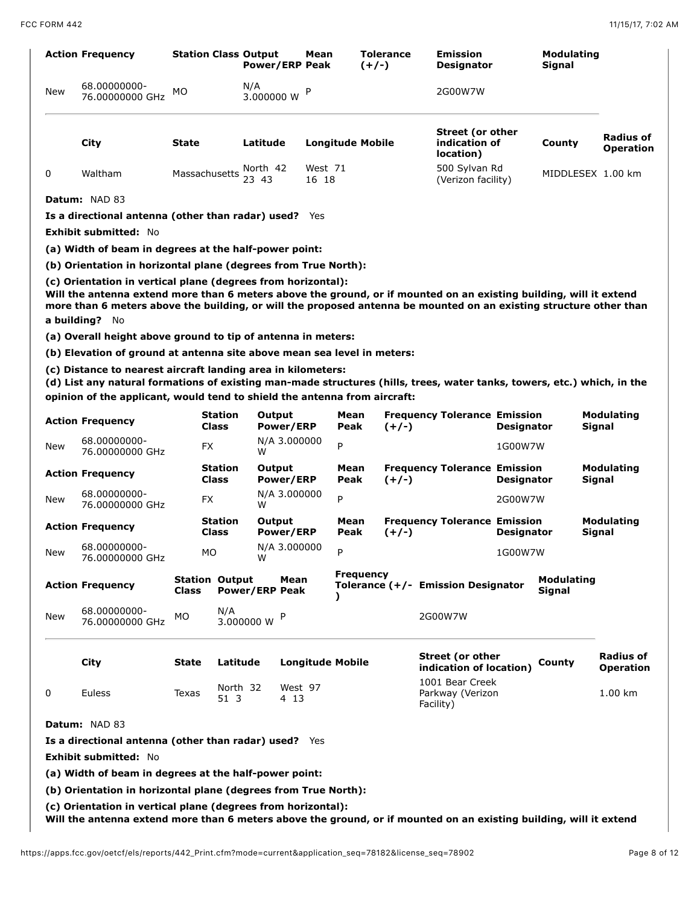|     | <b>Action Frequency</b>                                                                                                                                                                                                                                                                                                    |              | <b>Station Class Output</b> | <b>Power/ERP Peak</b>  | Mean                    |              | <b>Tolerance</b><br>$(+/-)$ | <b>Emission</b><br><b>Designator</b>                  |                   | <b>Modulating</b><br>Signal |                                      |
|-----|----------------------------------------------------------------------------------------------------------------------------------------------------------------------------------------------------------------------------------------------------------------------------------------------------------------------------|--------------|-----------------------------|------------------------|-------------------------|--------------|-----------------------------|-------------------------------------------------------|-------------------|-----------------------------|--------------------------------------|
| New | 68.00000000-<br>76.00000000 GHz                                                                                                                                                                                                                                                                                            | МO           |                             | N/A<br>3.000000 W      |                         |              |                             | 2G00W7W                                               |                   |                             |                                      |
|     | City                                                                                                                                                                                                                                                                                                                       | State        |                             | Latitude               |                         |              | <b>Longitude Mobile</b>     | <b>Street (or other</b><br>indication of<br>location) |                   | County                      | Radius of<br><b>Operation</b>        |
| 0   | Waltham                                                                                                                                                                                                                                                                                                                    |              |                             | Massachusetts North 42 | West 71<br>16 18        |              |                             | 500 Sylvan Rd<br>(Verizon facility)                   |                   | MIDDLESEX 1.00 km           |                                      |
|     | Datum: NAD 83                                                                                                                                                                                                                                                                                                              |              |                             |                        |                         |              |                             |                                                       |                   |                             |                                      |
|     | Is a directional antenna (other than radar) used? Yes                                                                                                                                                                                                                                                                      |              |                             |                        |                         |              |                             |                                                       |                   |                             |                                      |
|     | <b>Exhibit submitted: No</b>                                                                                                                                                                                                                                                                                               |              |                             |                        |                         |              |                             |                                                       |                   |                             |                                      |
|     | (a) Width of beam in degrees at the half-power point:                                                                                                                                                                                                                                                                      |              |                             |                        |                         |              |                             |                                                       |                   |                             |                                      |
|     | (b) Orientation in horizontal plane (degrees from True North):                                                                                                                                                                                                                                                             |              |                             |                        |                         |              |                             |                                                       |                   |                             |                                      |
|     | (c) Orientation in vertical plane (degrees from horizontal):<br>Will the antenna extend more than 6 meters above the ground, or if mounted on an existing building, will it extend<br>more than 6 meters above the building, or will the proposed antenna be mounted on an existing structure other than<br>a building? No |              |                             |                        |                         |              |                             |                                                       |                   |                             |                                      |
|     | (a) Overall height above ground to tip of antenna in meters:                                                                                                                                                                                                                                                               |              |                             |                        |                         |              |                             |                                                       |                   |                             |                                      |
|     | (b) Elevation of ground at antenna site above mean sea level in meters:                                                                                                                                                                                                                                                    |              |                             |                        |                         |              |                             |                                                       |                   |                             |                                      |
|     | (c) Distance to nearest aircraft landing area in kilometers:<br>(d) List any natural formations of existing man-made structures (hills, trees, water tanks, towers, etc.) which, in the<br>opinion of the applicant, would tend to shield the antenna from aircraft:                                                       |              |                             |                        |                         |              |                             |                                                       |                   |                             |                                      |
|     | <b>Action Frequency</b>                                                                                                                                                                                                                                                                                                    |              | Station<br><b>Class</b>     | Output<br>Power/ERP    |                         | Mean<br>Peak | $(+/-)$                     | <b>Frequency Tolerance Emission</b>                   | <b>Designator</b> |                             | <b>Modulating</b><br>Signal          |
| New | 68.00000000-<br>76.00000000 GHz                                                                                                                                                                                                                                                                                            |              | FX                          | N/A 3.000000<br>w      |                         | P            |                             |                                                       | 1G00W7W           |                             |                                      |
|     | <b>Action Frequency</b>                                                                                                                                                                                                                                                                                                    |              | Station<br>Class            | Output<br>Power/ERP    |                         | Mean<br>Peak | $(+/-)$                     | <b>Frequency Tolerance Emission</b>                   | <b>Designator</b> |                             | Modulating<br>Signal                 |
| New | 68.00000000-<br>76.00000000 GHz                                                                                                                                                                                                                                                                                            |              | FX                          | N/A 3.000000<br>w      |                         | P            |                             |                                                       | 2G00W7W           |                             |                                      |
|     | <b>Action Frequency</b>                                                                                                                                                                                                                                                                                                    |              | Station<br>Class            | Output<br>Power/ERP    |                         | Mean<br>Peak | $(+/-)$                     | <b>Frequency Tolerance Emission</b>                   | <b>Designator</b> |                             | <b>Modulating</b><br>Signal          |
| New | 68.00000000-<br>76.00000000 GHz                                                                                                                                                                                                                                                                                            |              | MO                          | N/A 3.000000<br>W      |                         | P            |                             |                                                       | 1G00W7W           |                             |                                      |
|     | <b>Action Frequency</b>                                                                                                                                                                                                                                                                                                    | Class        | <b>Station Output</b>       | <b>Power/ERP Peak</b>  | Mean                    | <sup>)</sup> | <b>Frequency</b>            | Tolerance (+/- Emission Designator                    |                   | <b>Modulating</b><br>Signal |                                      |
| New | 68.00000000-<br>76.00000000 GHz                                                                                                                                                                                                                                                                                            | MO           | N/A                         | P<br>3.000000 W        |                         |              |                             | 2G00W7W                                               |                   |                             |                                      |
|     | City                                                                                                                                                                                                                                                                                                                       | <b>State</b> | Latitude                    |                        | <b>Longitude Mobile</b> |              |                             | <b>Street (or other</b><br>indication of location)    |                   | County                      | <b>Radius of</b><br><b>Operation</b> |
| 0   | <b>Euless</b>                                                                                                                                                                                                                                                                                                              | Texas        | North 32<br>51 3            | 4 13                   | West 97                 |              |                             | 1001 Bear Creek<br>Parkway (Verizon<br>Facility)      |                   |                             | 1.00 km                              |
|     | Datum: NAD 83                                                                                                                                                                                                                                                                                                              |              |                             |                        |                         |              |                             |                                                       |                   |                             |                                      |
|     | Is a directional antenna (other than radar) used? Yes                                                                                                                                                                                                                                                                      |              |                             |                        |                         |              |                             |                                                       |                   |                             |                                      |
|     | <b>Exhibit submitted: No</b>                                                                                                                                                                                                                                                                                               |              |                             |                        |                         |              |                             |                                                       |                   |                             |                                      |
|     | (a) Width of beam in degrees at the half-power point:                                                                                                                                                                                                                                                                      |              |                             |                        |                         |              |                             |                                                       |                   |                             |                                      |
|     | (b) Orientation in horizontal plane (degrees from True North):                                                                                                                                                                                                                                                             |              |                             |                        |                         |              |                             |                                                       |                   |                             |                                      |
|     | (c) Orientation in vertical plane (degrees from horizontal):<br>Will the antenna extend more than 6 meters above the ground, or if mounted on an existing building, will it extend                                                                                                                                         |              |                             |                        |                         |              |                             |                                                       |                   |                             |                                      |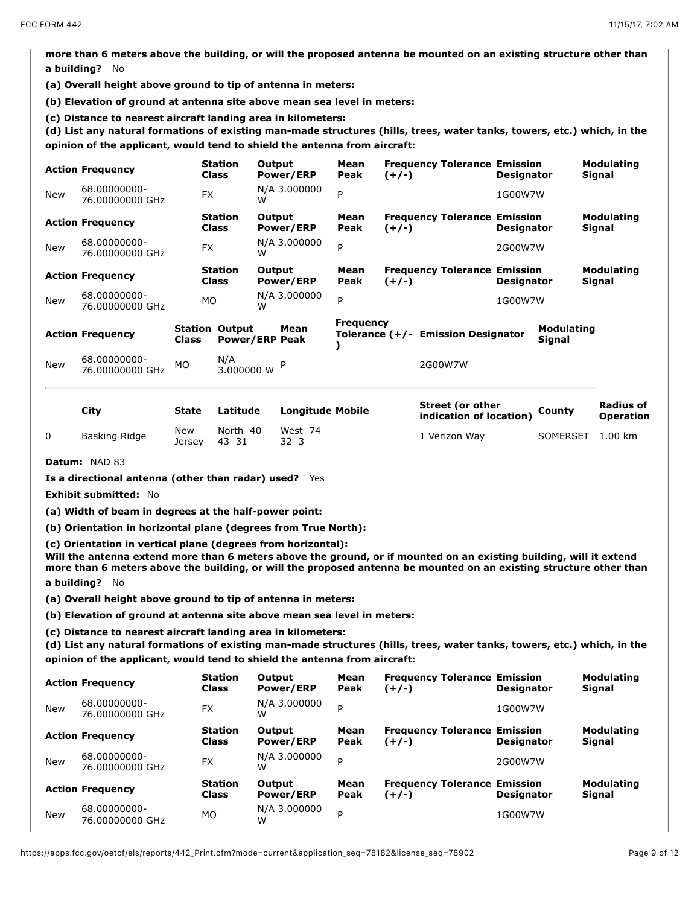**more than 6 meters above the building, or will the proposed antenna be mounted on an existing structure other than a building?** No

**(a) Overall height above ground to tip of antenna in meters:** 

**(b) Elevation of ground at antenna site above mean sea level in meters:** 

(c) Distance to nearest aircraft landing area in kilometers:<br>(d) List any natural formations of existing man-made structures (hills, trees, water tanks, towers, etc.) which, in the **opinion of the applicant, would tend to shield the antenna from aircraft:** 

|            | <b>Action Frequency</b>         |       | <b>Station</b><br><b>Class</b> | Output<br>Power/ERP           | Mean<br>Peak     | <b>Frequency Tolerance Emission</b><br>$(+/-)$ | <b>Designator</b> |                             | <b>Modulating</b><br><b>Signal</b> |
|------------|---------------------------------|-------|--------------------------------|-------------------------------|------------------|------------------------------------------------|-------------------|-----------------------------|------------------------------------|
| <b>New</b> | 68.00000000-<br>76.00000000 GHz |       | <b>FX</b>                      | N/A 3.000000<br>w             | P                |                                                | 1G00W7W           |                             |                                    |
|            | <b>Action Frequency</b>         |       | <b>Station</b><br><b>Class</b> | Output<br>Power/ERP           | Mean<br>Peak     | <b>Frequency Tolerance Emission</b><br>$(+/-)$ | <b>Designator</b> |                             | <b>Modulating</b><br>Signal        |
| <b>New</b> | 68.00000000-<br>76.00000000 GHz |       | <b>FX</b>                      | N/A 3.000000<br>w             | P                |                                                | 2G00W7W           |                             |                                    |
|            | <b>Action Frequency</b>         |       | <b>Station</b><br><b>Class</b> | Output<br>Power/ERP           | Mean<br>Peak     | <b>Frequency Tolerance Emission</b><br>$(+/-)$ | <b>Designator</b> |                             | <b>Modulating</b><br><b>Signal</b> |
| <b>New</b> | 68.00000000-<br>76.00000000 GHz |       | MO                             | N/A 3.000000<br>w             | P                |                                                | 1G00W7W           |                             |                                    |
|            | <b>Action Frequency</b>         | Class | <b>Station Output</b>          | Mean<br><b>Power/ERP Peak</b> | <b>Frequency</b> | Tolerance (+/- Emission Designator             |                   | <b>Modulating</b><br>Signal |                                    |
| <b>New</b> | 68.00000000-<br>76.00000000 GHz | MO    | N/A<br>3.000000 W              |                               |                  | 2G00W7W                                        |                   |                             |                                    |

| Citv          | State                | Latitude          | <b>Longitude Mobile</b> | Street (or other<br>indication of location) | County   | Radius of<br><b>Operation</b> |
|---------------|----------------------|-------------------|-------------------------|---------------------------------------------|----------|-------------------------------|
| Basking Ridge | <b>New</b><br>Jersev | North 40<br>43 31 | West 74<br>323          | 1 Verizon Wav                               | SOMERSET | $1.00$ km                     |

**Datum:** NAD 83

**Is a directional antenna (other than radar) used?** Yes

**Exhibit submitted:** No

**(a) Width of beam in degrees at the half-power point:** 

**(b) Orientation in horizontal plane (degrees from True North):**

**(c) Orientation in vertical plane (degrees from horizontal):**

**Will the antenna extend more than 6 meters above the ground, or if mounted on an existing building, will it extend more than 6 meters above the building, or will the proposed antenna be mounted on an existing structure other than a building?** No

**(a) Overall height above ground to tip of antenna in meters:** 

**(b) Elevation of ground at antenna site above mean sea level in meters:** 

**(c) Distance to nearest aircraft landing area in kilometers: (d) List any natural formations of existing man-made structures (hills, trees, water tanks, towers, etc.) which, in the opinion of the applicant, would tend to shield the antenna from aircraft:** 

|            | <b>Action Frequency</b>         | <b>Station</b><br><b>Class</b> | Output<br>Power/ERP        | Mean<br>Peak | <b>Frequency Tolerance Emission</b><br>(+/-)   | <b>Designator</b> | <b>Modulating</b><br>Signal        |
|------------|---------------------------------|--------------------------------|----------------------------|--------------|------------------------------------------------|-------------------|------------------------------------|
| <b>New</b> | 68.00000000-<br>76.00000000 GHz | <b>FX</b>                      | N/A 3.000000<br>W          | P            |                                                | 1G00W7W           |                                    |
|            | <b>Action Frequency</b>         | <b>Station</b><br><b>Class</b> | Output<br>Power/ERP        | Mean<br>Peak | <b>Frequency Tolerance Emission</b><br>$(+/-)$ | <b>Designator</b> | <b>Modulating</b><br><b>Signal</b> |
| <b>New</b> | 68.00000000-<br>76.00000000 GHz | <b>FX</b>                      | N/A 3.000000<br>W          | P            |                                                | 2G00W7W           |                                    |
|            | <b>Action Frequency</b>         | <b>Station</b><br><b>Class</b> | Output<br><b>Power/ERP</b> | Mean<br>Peak | <b>Frequency Tolerance Emission</b><br>(+/-)   | <b>Designator</b> | <b>Modulating</b><br><b>Signal</b> |
| <b>New</b> | 68.00000000-<br>76.00000000 GHz | <b>MO</b>                      | N/A 3.000000<br>W          | P            |                                                | 1G00W7W           |                                    |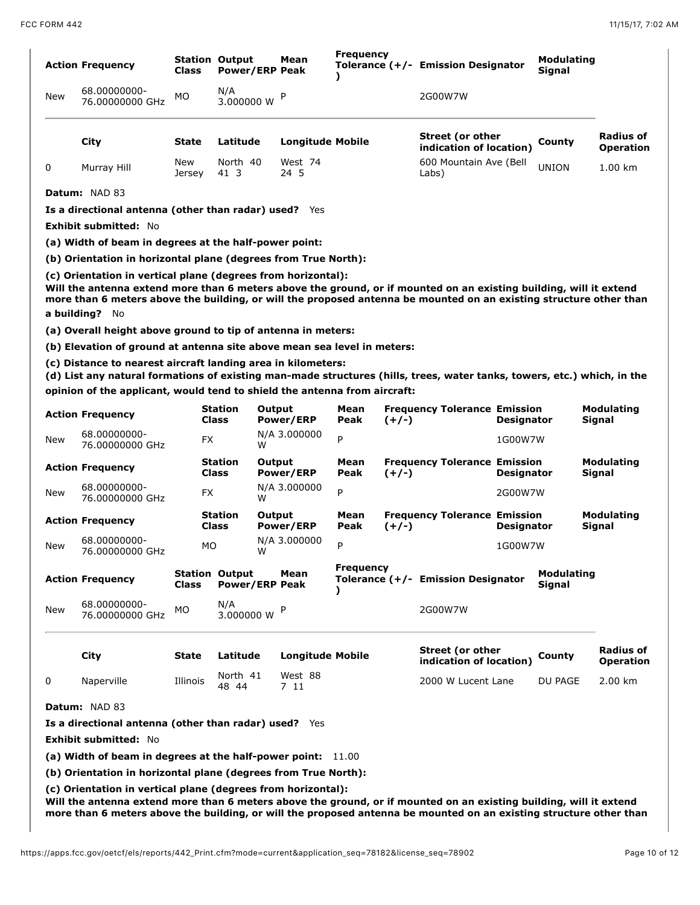|     | <b>Action Frequency</b>                                                                                                                                                                                                                                                                                                    | Class         | <b>Station Output</b><br><b>Power/ERP Peak</b> | Mean                    | <b>Frequency</b> |         | Tolerance (+/- Emission Designator                 |                   | Modulating<br><b>Signal</b> |                                      |
|-----|----------------------------------------------------------------------------------------------------------------------------------------------------------------------------------------------------------------------------------------------------------------------------------------------------------------------------|---------------|------------------------------------------------|-------------------------|------------------|---------|----------------------------------------------------|-------------------|-----------------------------|--------------------------------------|
| New | 68.00000000-<br>76.00000000 GHz                                                                                                                                                                                                                                                                                            | МO            | N/A<br>3.000000 W                              | P                       |                  |         | 2G00W7W                                            |                   |                             |                                      |
|     | City                                                                                                                                                                                                                                                                                                                       | State         | Latitude                                       | <b>Longitude Mobile</b> |                  |         | <b>Street (or other</b><br>indication of location) |                   | County                      | Radius of<br>Operation               |
| 0   | Murray Hill                                                                                                                                                                                                                                                                                                                | New<br>Jersey | North 40<br>41 3                               | West 74<br>24 5         |                  |         | 600 Mountain Ave (Bell<br>Labs)                    |                   | <b>UNION</b>                | 1.00 km                              |
|     | Datum: NAD 83                                                                                                                                                                                                                                                                                                              |               |                                                |                         |                  |         |                                                    |                   |                             |                                      |
|     | Is a directional antenna (other than radar) used? Yes                                                                                                                                                                                                                                                                      |               |                                                |                         |                  |         |                                                    |                   |                             |                                      |
|     | <b>Exhibit submitted: No</b>                                                                                                                                                                                                                                                                                               |               |                                                |                         |                  |         |                                                    |                   |                             |                                      |
|     | (a) Width of beam in degrees at the half-power point:                                                                                                                                                                                                                                                                      |               |                                                |                         |                  |         |                                                    |                   |                             |                                      |
|     | (b) Orientation in horizontal plane (degrees from True North):                                                                                                                                                                                                                                                             |               |                                                |                         |                  |         |                                                    |                   |                             |                                      |
|     | (c) Orientation in vertical plane (degrees from horizontal):<br>Will the antenna extend more than 6 meters above the ground, or if mounted on an existing building, will it extend<br>more than 6 meters above the building, or will the proposed antenna be mounted on an existing structure other than<br>a building? No |               |                                                |                         |                  |         |                                                    |                   |                             |                                      |
|     | (a) Overall height above ground to tip of antenna in meters:                                                                                                                                                                                                                                                               |               |                                                |                         |                  |         |                                                    |                   |                             |                                      |
|     | (b) Elevation of ground at antenna site above mean sea level in meters:                                                                                                                                                                                                                                                    |               |                                                |                         |                  |         |                                                    |                   |                             |                                      |
|     | (c) Distance to nearest aircraft landing area in kilometers:<br>(d) List any natural formations of existing man-made structures (hills, trees, water tanks, towers, etc.) which, in the                                                                                                                                    |               |                                                |                         |                  |         |                                                    |                   |                             |                                      |
|     | opinion of the applicant, would tend to shield the antenna from aircraft:                                                                                                                                                                                                                                                  |               |                                                |                         |                  |         |                                                    |                   |                             |                                      |
|     | <b>Action Frequency</b>                                                                                                                                                                                                                                                                                                    |               | <b>Station</b><br><b>Class</b>                 | Output<br>Power/ERP     | Mean<br>Peak     | $(+/-)$ | <b>Frequency Tolerance Emission</b>                | <b>Designator</b> |                             | <b>Modulating</b><br>Signal          |
| New | 68.00000000-<br>76.00000000 GHz                                                                                                                                                                                                                                                                                            | FX            | w                                              | N/A 3.000000            | P                |         |                                                    | 1G00W7W           |                             |                                      |
|     | <b>Action Frequency</b>                                                                                                                                                                                                                                                                                                    |               | <b>Station</b><br>Class                        | Output<br>Power/ERP     | Mean<br>Peak     | $(+/-)$ | <b>Frequency Tolerance Emission</b>                | <b>Designator</b> |                             | <b>Modulating</b><br>Signal          |
| New | 68.00000000-<br>76.00000000 GHz                                                                                                                                                                                                                                                                                            | FX            | w                                              | N/A 3.000000            | P                |         |                                                    | 2G00W7W           |                             |                                      |
|     | <b>Action Frequency</b>                                                                                                                                                                                                                                                                                                    |               | Station<br>Class                               | Output<br>Power/ERP     | Mean<br>Peak     | $(+/-)$ | <b>Frequency Tolerance Emission</b>                | <b>Designator</b> |                             | <b>Modulating</b><br>Signal          |
| New | 68.00000000-<br>76.00000000 GHz                                                                                                                                                                                                                                                                                            | МO            |                                                | N/A 3.000000<br>W       | P                |         |                                                    | 1G00W7W           |                             |                                      |
|     | <b>Action Frequency</b>                                                                                                                                                                                                                                                                                                    | Class         | <b>Station Output</b><br><b>Power/ERP Peak</b> | Mean                    | <b>Frequency</b> |         | Tolerance (+/- Emission Designator                 |                   | Modulating<br>Signal        |                                      |
|     | 68.00000000-                                                                                                                                                                                                                                                                                                               | МO            | N/A<br>3.000000 W                              | P                       |                  |         | 2G00W7W                                            |                   |                             |                                      |
| New | 76.00000000 GHz                                                                                                                                                                                                                                                                                                            |               |                                                |                         |                  |         |                                                    |                   |                             |                                      |
|     | City                                                                                                                                                                                                                                                                                                                       | State         | Latitude                                       | <b>Longitude Mobile</b> |                  |         | <b>Street (or other</b><br>indication of location) |                   | County                      | <b>Radius of</b><br><b>Operation</b> |
|     | Naperville                                                                                                                                                                                                                                                                                                                 | Illinois      | North 41<br>48 44                              | West 88<br>7 11         |                  |         | 2000 W Lucent Lane                                 |                   | DU PAGE                     | 2.00 km                              |
| 0   | Datum: NAD 83                                                                                                                                                                                                                                                                                                              |               |                                                |                         |                  |         |                                                    |                   |                             |                                      |
|     | Is a directional antenna (other than radar) used? Yes                                                                                                                                                                                                                                                                      |               |                                                |                         |                  |         |                                                    |                   |                             |                                      |
|     | <b>Exhibit submitted: No</b>                                                                                                                                                                                                                                                                                               |               |                                                |                         |                  |         |                                                    |                   |                             |                                      |

**(c) Orientation in vertical plane (degrees from horizontal):**

**Will the antenna extend more than 6 meters above the ground, or if mounted on an existing building, will it extend more than 6 meters above the building, or will the proposed antenna be mounted on an existing structure other than**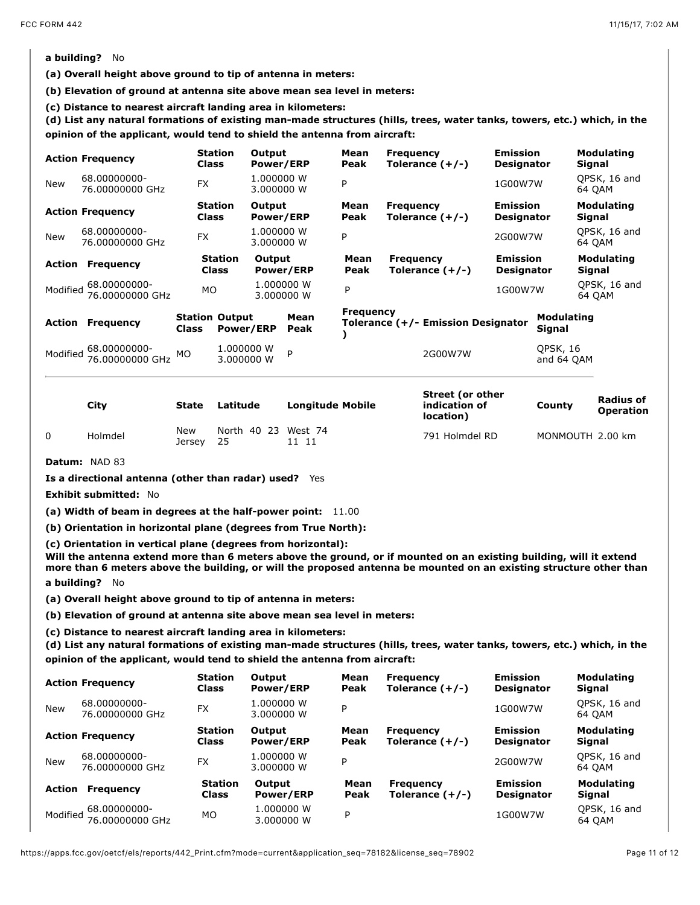# **a building?** No

**(a) Overall height above ground to tip of antenna in meters:** 

**(b) Elevation of ground at antenna site above mean sea level in meters:** 

(c) Distance to nearest aircraft landing area in kilometers:<br>(d) List any natural formations of existing man-made structures (hills, trees, water tanks, towers, etc.) which, in the **opinion of the applicant, would tend to shield the antenna from aircraft:** 

|            | <b>Action Frequency</b>                     | <b>Class</b>                          | <b>Station</b>                 | Output<br><b>Power/ERP</b> |                          | Mean<br>Peak     | <b>Frequency</b><br>Tolerance $(+/-)$ | <b>Emission</b><br><b>Designator</b> |                             | <b>Modulating</b><br>Signal |
|------------|---------------------------------------------|---------------------------------------|--------------------------------|----------------------------|--------------------------|------------------|---------------------------------------|--------------------------------------|-----------------------------|-----------------------------|
| <b>New</b> | 68.00000000-<br>76.00000000 GHz             | <b>FX</b>                             |                                | 1.000000 W<br>3.000000 W   |                          | P                |                                       | 1G00W7W                              |                             | QPSK, 16 and<br>64 QAM      |
|            | <b>Action Frequency</b>                     | <b>Class</b>                          | <b>Station</b>                 | Output<br><b>Power/ERP</b> |                          | Mean<br>Peak     | <b>Frequency</b><br>Tolerance $(+/-)$ | <b>Emission</b><br><b>Designator</b> |                             | Modulating<br>Signal        |
| <b>New</b> | 68.00000000-<br>76.00000000 GHz             | <b>FX</b>                             |                                | 1.000000 W<br>3.000000 W   |                          | P                |                                       | 2G00W7W                              |                             | QPSK, 16 and<br>64 OAM      |
| Action     | <b>Frequency</b>                            |                                       | <b>Station</b><br><b>Class</b> | Output                     | <b>Power/ERP</b>         | Mean<br>Peak     | <b>Frequency</b><br>Tolerance $(+/-)$ | <b>Emission</b><br><b>Designator</b> |                             | <b>Modulating</b><br>Signal |
|            | Modified 68.00000000-<br>76.00000000 GHz    | MO.                                   |                                |                            | 1.000000 W<br>3.000000 W | P                |                                       | 1G00W7W                              |                             | QPSK, 16 and<br>64 OAM      |
| Action     | <b>Frequency</b>                            | <b>Station Output</b><br><b>Class</b> | <b>Power/ERP</b>               |                            | Mean<br>Peak             | <b>Frequency</b> | Tolerance (+/- Emission Designator    |                                      | <b>Modulating</b><br>Signal |                             |
|            | Modified 68.00000000-<br>76.00000000 GHz MO |                                       | 1.000000 W<br>3.000000 W       |                            | P                        |                  | 2G00W7W                               |                                      | QPSK, 16<br>and 64 OAM      |                             |

| City    | State         | Latitude          | <b>Longitude Mobile</b> | Street (or other<br>indication of<br>location) | County           | <b>Radius of</b><br><b>Operation</b> |
|---------|---------------|-------------------|-------------------------|------------------------------------------------|------------------|--------------------------------------|
| Holmdel | New<br>Jersey | North 40 23<br>25 | West 74                 | 791 Holmdel RD                                 | MONMOUTH 2.00 km |                                      |

**Datum:** NAD 83

**Is a directional antenna (other than radar) used?** Yes

**Exhibit submitted:** No

**(a) Width of beam in degrees at the half-power point:** 11.00

**(b) Orientation in horizontal plane (degrees from True North):**

**(c) Orientation in vertical plane (degrees from horizontal):**

**Will the antenna extend more than 6 meters above the ground, or if mounted on an existing building, will it extend more than 6 meters above the building, or will the proposed antenna be mounted on an existing structure other than a building?** No

**(a) Overall height above ground to tip of antenna in meters:** 

**(b) Elevation of ground at antenna site above mean sea level in meters:** 

(c) Distance to nearest aircraft landing area in kilometers:<br>(d) List any natural formations of existing man-made structures (hills, trees, water tanks, towers, etc.) which, in the **opinion of the applicant, would tend to shield the antenna from aircraft:** 

|            | <b>Action Frequency</b>                   | <b>Station</b><br><b>Class</b> | Output<br><b>Power/ERP</b> | Mean<br>Peak | <b>Frequency</b><br>Tolerance $(+/-)$ | <b>Emission</b><br><b>Designator</b> | <b>Modulating</b><br><b>Signal</b> |
|------------|-------------------------------------------|--------------------------------|----------------------------|--------------|---------------------------------------|--------------------------------------|------------------------------------|
| <b>New</b> | 68.00000000-<br>76.00000000 GHz           | <b>FX</b>                      | 1.000000 W<br>3.000000 W   | P            |                                       | 1G00W7W                              | QPSK, 16 and<br>64 OAM             |
|            | <b>Action Frequency</b>                   | <b>Station</b><br><b>Class</b> | Output<br><b>Power/ERP</b> | Mean<br>Peak | <b>Frequency</b><br>Tolerance $(+/-)$ | <b>Emission</b><br><b>Designator</b> | Modulating<br>Signal               |
| <b>New</b> | 68.00000000-<br>76.00000000 GHz           | <b>FX</b>                      | 1.000000 W<br>3.000000 W   | P            |                                       | 2G00W7W                              | QPSK, 16 and<br>64 OAM             |
| Action     | <b>Frequency</b>                          | <b>Station</b><br><b>Class</b> | Output<br><b>Power/ERP</b> | Mean<br>Peak | <b>Frequency</b><br>Tolerance $(+/-)$ | <b>Emission</b><br><b>Designator</b> | <b>Modulating</b><br>Signal        |
|            | Modified 568.00000000-<br>76.00000000 GHz | MO                             | 1.000000 W<br>3,000000 W   | P            |                                       | 1G00W7W                              | QPSK, 16 and<br>64 QAM             |